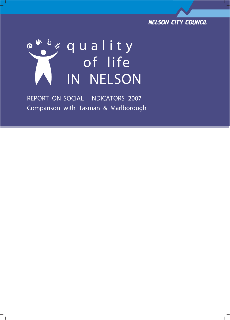



REPORT ON **SOCIAL** INDICATORS 2007 Comparison with Tasman & Marlborough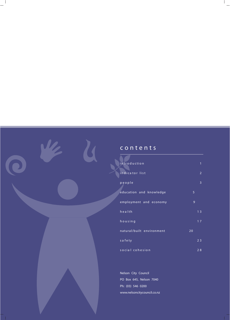### **c o n t e n t s**

W

| introduction              | 1              |
|---------------------------|----------------|
| indicator list            | $\overline{2}$ |
| people                    | 3              |
| education and knowledge   | 5              |
| employment and economy    | 9              |
| health                    | 1 <sub>3</sub> |
| housing                   | 17             |
| natural/built environment | 20             |
| safety                    | 2 <sub>3</sub> |
| social cohesion           | 28             |

**Nelson City Council** PO Box 645, Nelson 7040 Ph: (03) 546 0200 www.nelsoncitycouncil.co.nz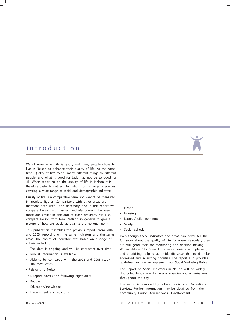### **i n t r o d u c t i o n**

We all know when life is good, and many people chose to live in Nelson to enhance their quality of life. At the same time 'Quality of life' means many different things to different people, and what is good for Jack may not be so good for Jill. When reporting on the quality of life in Nelson it is therefore useful to gather information from a range of sources, covering a wide range of social and demographic indicators.

Quality of life is a comparative term and cannot be measured in absolute figures. Comparisons with other areas are therefore both useful and necessary, and in this report we compare Nelson with Tasman and Marlborough because those are similar in size and of close proximity. We also compare Nelson with New Zealand in general to give a picture of how we stack up against the national norm.

This publication resembles the previous reports from 2002 and 2003, reporting on the same indicators and the same areas. The choice of indicators was based on a range of criteria including:

- The data is ongoing and will be consistent over time
- Robust information is available
- Able to be compared with the 2002 and 2003 study (in most cases)
- Relevant to Nelson

This report covers the following eight areas.

- People
- Education/knowledge
- Employment and economy
- Health
- Housing
- Natural/built environment
- **Safety**
- Social cohesion

Even though these indicators and areas can never tell the full story about the quality of life for every Nelsonian, they are still good tools for monitoring and decision making. Within Nelson City Council the report assists with planning and prioritising, helping us to identify areas that need to be addressed and in setting priorities. The report also provides guidelines for how to implement our Social Wellbeing Policy.

The Report on Social Indicators in Nelson will be widely distributed to community groups, agencies and organisations throughout the city.

This report is complied by Cultural, Social and Recreational Services. Further information may be obtained from the Community Liaison Adviser Social Development.

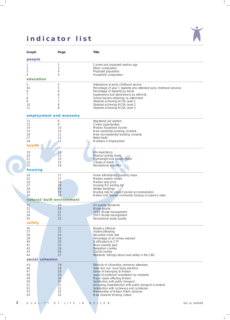# **indicator list**



|   | Graph               | Page                      | <b>Title</b>                                                                                                 |                |
|---|---------------------|---------------------------|--------------------------------------------------------------------------------------------------------------|----------------|
|   | people              |                           |                                                                                                              |                |
|   | 1                   | 3                         | Current and projected median age                                                                             |                |
|   | 2<br>3              | 3<br>4                    | Ethnic composition<br>Projected population                                                                   |                |
|   | 4                   | 4                         | Household composition                                                                                        |                |
|   | education           |                           |                                                                                                              |                |
|   | 5<br>5 <sub>b</sub> | 5<br>5                    | Attendance at early childhood service<br>Percentage of year 1 students who attended early childhood services |                |
|   | 6                   | 6                         | Percentage of students by decile                                                                             |                |
|   | 7<br>8              | 6<br>7                    | Suspensions and stand-downs by ethnicity<br>School leavers obtaining no attainment                           |                |
|   | 9                   | 7                         | Students achieving NCEA Level 1                                                                              |                |
|   | 10<br>11            | 8<br>8                    | Students achieving NCEA Level 2<br>Students achieving NCEA Level 3                                           |                |
|   |                     |                           |                                                                                                              |                |
|   |                     | employment and economy    |                                                                                                              |                |
|   | 12<br>13            | 9<br>9                    | Registered job seekers<br>Career opportunities                                                               |                |
|   | 14                  | 10                        | Median household income                                                                                      |                |
|   | 15<br>16            | 10<br>11                  | New residential building consents<br>New non-residential building consents                                   |                |
|   | 17                  | 11                        | Retail trade                                                                                                 |                |
|   | 18<br>health        | 12                        | Numbers in Employment                                                                                        |                |
|   |                     |                           |                                                                                                              |                |
|   | 19<br>20            | 13<br>13                  | Life expectancy<br>Physical activity levels                                                                  |                |
|   | 21                  | 14                        | Overweight and obesity levels                                                                                |                |
|   | 22<br>23            | 15<br>16                  | Causes of death<br>Recreational activities                                                                   |                |
|   | housing             |                           |                                                                                                              |                |
|   | 24                  | 17                        | Home affordability quarterly index                                                                           |                |
|   | 25                  | 17                        | Median weekly rentals                                                                                        |                |
|   | 26<br>27            | 18<br>18                  | Median sale price<br>Housing NZ waiting list                                                                 |                |
|   | 28                  | 19                        | Rented dwellings                                                                                             |                |
|   | 29<br>30            | 19<br>19                  | Waiting lists for council owned accommodation<br>Nelson and Tasman community housing occupancy rates         |                |
|   |                     | natural/built environment |                                                                                                              |                |
|   | 31                  | 20                        | Air quality standards                                                                                        |                |
|   | 32<br>33            | 20<br>21                  | Water quality<br>2005 Waste management                                                                       |                |
|   | 34                  | 21                        | 2007 Waste management                                                                                        |                |
|   | 35                  | 22                        | Recreational water quality                                                                                   |                |
|   | safety              |                           |                                                                                                              |                |
|   | 36<br>37            | 23<br>23                  | <b>Burglary offences</b><br>Violent offending                                                                |                |
|   | 38                  | 24                        | Recorded crime rate                                                                                          |                |
|   | 39<br>40            | 24<br>25                  | Percentage of all crimes resolved<br>Notifications to CYF                                                    |                |
|   | 41                  | 25                        | Road casualty type                                                                                           |                |
|   | 42<br>43            | 26<br>26                  | Pedestrian crashes<br><b>Cyclist crashes</b>                                                                 |                |
|   | 44                  | 27                        | Residents' feelings about road safety in the CBD                                                             |                |
|   |                     | social cohesion           |                                                                                                              |                |
|   | 45<br>46            | 28<br>28                  | Ethnicity of citizenship ceremony attendees<br>Voter turn out - local body elections                         |                |
|   | 47                  | 29                        | Sense of belonging to Nelson                                                                                 |                |
|   | 48<br>49            | 29                        | Levels of preferred consultation by residents                                                                |                |
|   | 50                  | 30<br>30                  | Major issues affecting Nelson<br>Satisfaction with public transport                                          |                |
|   | 51<br>52            | 31                        | Increasing dissatisfaction with public transport is evident                                                  |                |
|   | 53                  | 31<br>32                  | Satisfaction with cycleways and cyclelanes<br>Membership of Nelson Public Libraries                          |                |
|   | 54                  | 32                        | New Zealand drinking culture                                                                                 |                |
| 2 | QUALITY             | OF LIFE IN                | NELSON                                                                                                       | Doc no. 648488 |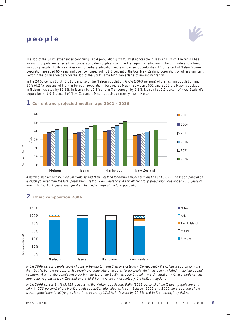# **people**

The Top of the South experiences continuing rapid population growth, most noticeable in Tasman District. The region has an aging population, affected by numbers of older couples moving to the region, a reduction in the birth rate and a trend for young people (15-34 years) leaving for tertiary education and employment opportunities. 14.5 percent of Nelson's current population are aged 65 years and over, compared with 12.3 percent of the total New Zealand population. Another significant factor in the population data for the Top of the South is the high percentage of inward migration.

In the 2006 census 8.4% (3,615 persons) of the Nelson population, 6.6% (3063 persons) of the Tasman population and 10% (4,275 persons) of the Marlborough population identified as Maori. Between 2001 and 2006 the Maori population in Nelson increased by 12.3%, in Tasman by 10.3% and in Marlborough by 9.8%. Nelson has 1.1 percent of New Zealand's population and 0.6 percent of New Zealand's Maori population usually live in Nelson.



#### **1 Current and projected median age 2001 - 2026**

Assuming medium fertility, medium mortality and New Zealand long-term annual net migration of 10,000. The Maori population is much younger than the total population. Half of New Zealand's Maori ethnic group population was under 23.0 years of age in 2007, 13.1 years younger than the median age of the total population.



In the 2006 census people could choose to belong to more than one category. Consequently the columns add up to more than 100%. For the purpose of this graph everyone who entered as "New Zealander" has been included in the "European" category. Much of the population growth in the Top of the South has been through inward migration with two thirds coming from other regions in New Zealand and a third from overseas, most notably, the United Kingdom.

In the 2006 census 8.4% (3,615 persons) of the Nelson population, 6.6% (3063 persons) of the Tasman population and 10% (4,275 persons) of the Marlborough population identified as Maori. Between 2001 and 2006 the proportion of the Nelson population identifying as Maori increased by 12.3%, in Tasman by 10.3% and in Marlborough by 9.8%.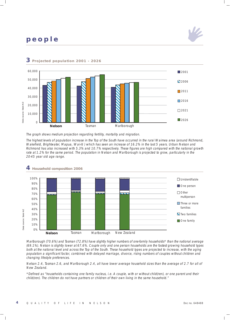# **people**





#### **3 Projected population 2001 - 2026**

The graph shows medium projection regarding fertility, mortality and migration.

The highest levels of population increase in the Top of the South have occurred in the rural Waimea area (around Richmond, Wakefield, Brightwater, Mapua, Wai-iti ) which has seen an increase of 16.2% in the last 5 years. Urban Nelson and Richmond has also increased with 5.3% and 10.7% respectively. These figures are high compared with the national growth rate at 1.2% for the same period. The population in Nelson and Marlborough is projected to grow, particularly in the 20-45 year old age range.



#### **4 Household composition 2006**

Marlborough (70.6%) and Tasman (72.8%) have slightly higher numbers of one-family households\* than the national average (69.1%). Nelson is slightly lower at 67.6%. Couple only and one person households are the fastest growing household types both at the national level and across the Top of the South. These household types are projected to increase, with the aging population a significant factor, combined with delayed marriage, divorce, rising numbers of couples without children and changing lifestyle preferences.

Nelson 2.4, Tasman 2.6, and Marlborough 2.4, all have lower average household sizes than the average of 2.7 for all of New Zealand.

\*Defined as "households containing one family nucleus, i.e. A couple, with or without child(ren), or one parent and their child(ren). The children do not have partners or children of their own living in the same household."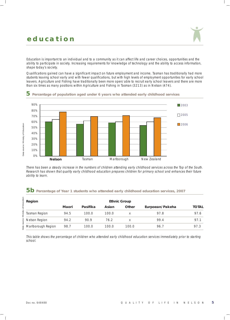### **education**

Education is important to an individual and to a community as it can affect life and career choices, opportunities and the ability to participate in society. Increasing requirements for knowledge of technology and the ability to access information, shape today's society.

Qualifications gained can have a significant impact on future employment and income. Tasman has traditionally had more students leaving school early and with fewer qualifications, but with high levels of employment opportunities for early school leavers. Agriculture and Fishing have traditionally been more open/able to recruit early school leavers and there are more than six times as many positions within Agriculture and Fishing in Tasman (3213) as in Nelson (474).



#### **5 Percentage of population aged under 6 years who attended early childhood services**

There has been a steady increase in the numbers of children attending early childhood services across the Top of the South. Research has shown that quality early childhood education prepares children for primary school and enhances their future ability to learn.

### **5b Percentage of Year 1 students who attended early childhood education services, 2007**

| Region             |       |          |       | <b>Ethnic Group</b> |                 |              |
|--------------------|-------|----------|-------|---------------------|-----------------|--------------|
|                    | Maori | Pasifika | Asian | Other               | Eurpoean/Pakeha | <b>TOTAL</b> |
| Tasman Region      | 94.5  | 100.0    | 100.0 | X                   | 97.8            | 97.6         |
| Nelson Region      | 94.2  | 90.9     | 76.2  | X                   | 99.4            | 97.1         |
| Marlborough Region | 98.7  | 100.0    | 100.0 | 100.0               | 96.7            | 97.3         |

This table shows the percentage of children who attended early childhood education services immediately prior to starting school.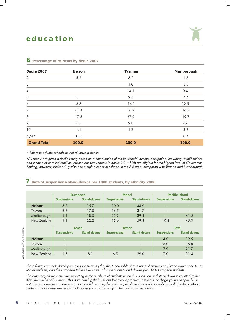| <b>Decile 2007</b> | <b>Nelson</b> | <b>Tasman</b> | Marlborough |
|--------------------|---------------|---------------|-------------|
| $\overline{2}$     | 5.2           | 3.2           | 1.6         |
| $\mathfrak{Z}$     |               | 1.0           | 8.5         |
| $\overline{4}$     |               | 14.1          | 0.4         |
| $\sqrt{5}$         | 1.1           | 9.7           | 9.9         |
| $\boldsymbol{6}$   | 8.6           | 16.1          | 32.5        |
| $\overline{7}$     | 61.4          | 16.2          | 16.7        |
| $\,8\,$            | 17.5          | 27.9          | 19.7        |
| 9                  | 4.8           | 9.8           | 7.4         |
| $10$               | 1.1           | 1.2           | 3.2         |
| $N/A^*$            | 0.8           |               | 0.4         |
| <b>Grand Total</b> | 100.0         | 100.0         | 100.0       |

#### **6 Percentage of students by decile 2007**

\* Refers to private schools as not all have a decile

All schools are given a decile rating based on a combination of the household income, occupation, crowding, qualifications, and income of enrolled families. Nelson has two schools in decile 1-2, which are eligible for the highest level of Government funding; however, Nelson City also has a high number of schools in the 7-8 area, compared with Tasman and Marlborough.

#### **7 Rate of suspensions/stand-downs per 1000 students, by ethnicity 2006**

|               | <b>European</b>          |                          | <b>Maori</b>       |                          | <b>Pacific Island</b>    |                          |
|---------------|--------------------------|--------------------------|--------------------|--------------------------|--------------------------|--------------------------|
|               | <b>Suspensions</b>       | <b>Stand-downs</b>       | <b>Suspensions</b> | <b>Stand-downs</b>       | <b>Suspensions</b>       | <b>Stand-downs</b>       |
| <b>Nelson</b> | 3.2                      | 15.7                     | 10.0               | 43.9                     | ٠                        | ٠                        |
| Tasman        | 6.8                      | 17.8                     | 16.5               | 31.7                     | $\overline{\phantom{a}}$ | $\overline{\phantom{a}}$ |
| Marlborough   | 4.1                      | 18.0                     | 23.2               | 39.4                     | ٠                        | 41.5                     |
| New Zealand   | 4.1                      | 22.2                     | 15.6               | 59.8                     | 10.4                     | 45.0                     |
|               |                          | <b>Asian</b>             | <b>Other</b>       |                          | <b>Total</b>             |                          |
|               | <b>Suspensions</b>       | <b>Stand-downs</b>       | <b>Suspensions</b> | <b>Stand-downs</b>       | <b>Suspensions</b>       | Stand-downs              |
|               |                          |                          |                    |                          |                          |                          |
| <b>Nelson</b> | ٠                        | ۰                        |                    | ٠                        | 4.0                      | 19.5                     |
| Tasman        | $\overline{\phantom{a}}$ | $\overline{\phantom{a}}$ |                    | $\overline{\phantom{a}}$ | 8.0                      | 16.8                     |
| Marlborough   | ٠                        | ۰                        | ۰                  | ٠                        | 7.9                      | 21.7                     |

These figures are calculated per category meaning that the Maori table shows rates of suspensions/stand downs per 1000 Maori students, and the European table shows rates of suspensions/stand downs per 1000 European students.

The data may show some over reporting in the numbers of students as each suspension and stand-down is counted rather than the number of students. This data can highlight serious behaviour problems among school-age young people, but is not always consistent as suspension or stand-down may be used as punishment by some schools more than others. Maori students are over-represented in all three regions, particularly in the rates of stand downs.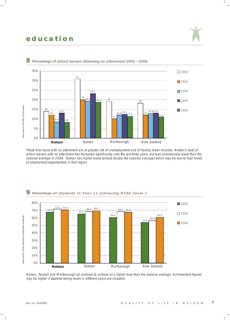### **education**



#### **8 Percentage of school leavers obtaining no attainment 2002 - 2006**

Those who leave with no attainment are at greater risk of unemployment and of having lower incomes. Nelson's level of school leavers with no attainment has fluctuated significantly over the last three years, but was considerably lower than the national average in 2006. Tasman has higher levels (almost double the national average) which may be due to high levels of employment opportunities in that region.



#### **9** Percentage of students in Year 11 achieving NCEA Level 1

Nelson, Tasman and Marlborough all continue to achieve at a higher level than the national average. Achievement figures may be higher if students taking levels in different years are included.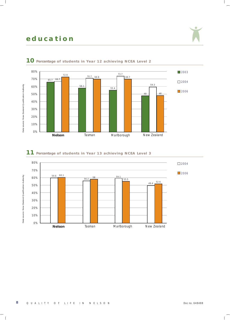# **education**



### **10** Percentage of students in Year 12 achieving NCEA Level 2

### **11** Percentage of students in Year 13 achieving NCEA Level 3

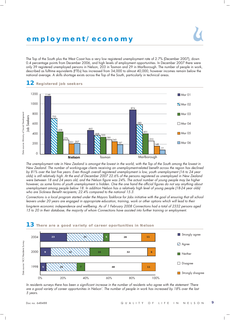### **employment/economy**

The Top of the South plus the West Coast has a very low registered unemployment rate of 2.7% (December 2007), down 0.4 percentage points from December 2006, and high levels of employment opportunities. In December 2007 there were only 39 registered unemployed persons in Nelson, 203 in Tasman and 29 in Marlborough. The number of people in work, described as fulltime equivalents (FTEs) has increased from 34,000 to almost 40,000, however incomes remain below the national average. A skills shortage exists across the Top of the South, particularly in technical areas.



The unemployment rate in New Zealand is amongst the lowest in the world, with the Top of the South among the lowest in New Zealand. The number of working-age clients receiving an unemployment-related benefit across the region has declined by 81% over the last five years. Even though overall registered unemployment is low, youth unemployment (16 to 24 year olds) is still relatively high. At the end of December 2007 22.6% of the persons registered as unemployed in New Zealand were between 18 and 24 years old, and the Nelson figure was 24%. The actual number of young people may be higher however, as some forms of youth unemployment is hidden. One the one hand the official figures do not say anything about unemployment among people below 18. In addition Nelson has a relatively high level of young people (18-24 year olds) who are Sickness Benefit recipients; 22.4% compared to the national 15.3.

Connections is a local program started under the Mayors Taskforce for Jobs initiative with the goal of ensuring that all school leavers under 20 years are engaged in appropriate education, training, work or other options which will lead to their long-term economic independence and wellbeing. As of 1 February 2008 Connections had a total of 2332 persons aged 15 to 20 in their database, the majority of whom Connections have assisted into further training or employment.



In residents surveys there has been a significant increase in the number of residents who agree with the statement 'There are a good variety of career opportunities in Nelson'. The number of people in work has increased by 18% over the last 5 years.

#### **12 Registered job seekers**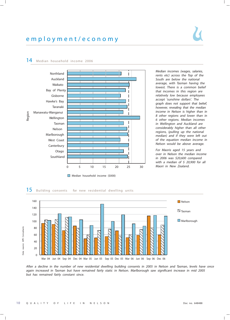

#### **14 Median household income <sup>2006</sup>**

Median incomes (wages, salaries, rents etc) across the Top of the South are below the national average, with Tasman having the lowest. There is <sup>a</sup> common belief that incomes in this region are relatively low because employees accept 'sunshine dollars'. The graph does not support that belief, however, revealing that the median income in Nelson is higher than in 8 other regions and lower than in 6 other regions. Median incomes in Wellington and Auckland are considerably higher than all other regions, (pulling up the national median) and if they were left out of the equation median income in Nelson would be above average.

For Maoris aged 15 years and over in Nelson the median income in 2006 was \$20,600 compared with a median of  $$ 20,900$  for all Maori in New Zealand.



After <sup>a</sup> decline in the number of new residential dwelling building consents in 2005 in Nelson and Tasman, levels have once again increased in Tasman but have remained fairly static in Nelson. Marlborough saw significant increase in mid 2005 but has remained fairly constant since.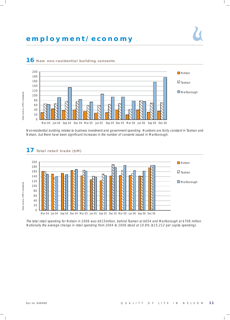### **employment/economy**



#### **16 New non-residential building consents**

**17 Total retail trade (\$M)**

Non-residential building relates to business investment and government spending. Numbers are fairly constant in Tasman and Nelson, but there have been significant increases in the number of consents issued in Marlborough.



#### The total retail spending for Nelson in 2006 was \$615million, behind Tasman at \$654 and Marlborough at \$708 million. Nationally the average change in retail spending from 2004 to 2006 stood at 10.8% (\$15,212 per capita spending).

Data source: APR Consultants Data source: APR Consultants

Data source: APR Consultants Data source: APR Consultants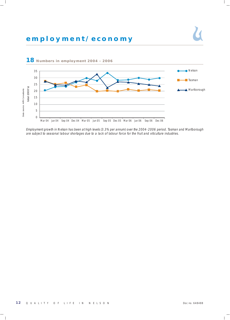### **employment/economy**



Employment growth in Nelson has been at high levels (3.3% per annum) over the 2004- 2006 period. Tasman and Marlborough are subject to seasonal labour shortages due to a lack of labour force for the fruit and viticulture industries.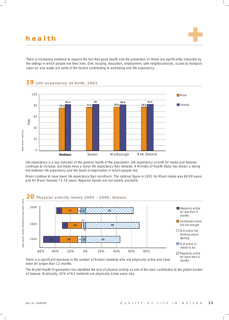There is increasing evidence to support the fact that good health and the prevention of illness are significantly impacted by the settings in which people live their lives. Diet, housing, education, employment, safe neighbourhoods, access to transport, clean air and water are some of the factors contributing to well-being and life expectancy.



Life expectancy is a key indicator of the general health of the population. Life expectancy at birth for males and females continues to increase, but males have a lower life expectancy than females. A Ministry of Health Study has shown a strong link between life expectancy and the levels of deprivation in which people live.

Maori continue to have lower life expectancy than non-Maori. The national figure in 2001 for Maori males was 68.99 years, and for Maori females 73.18 years. Regional figures are not readily available.



There is a significant decrease in the number of Nelson residents who are physically active and have been for longer than 12 months.

The World Health Organisation has identified the lack of physical activity as one of the main contributors to the global burden

months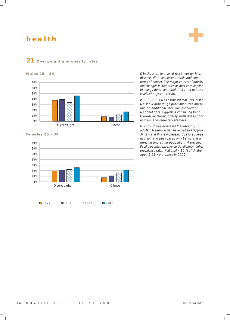**Males 25 - 34**

**21 Overweight and obesity rates**



### 70% 60% 50% 40% 30% 20% 10% 0% Overweight **Obese**

#### **Females 25 - 34**



Obesity is an increased risk factor for heart disease, diabetes, osteoarthritis and some forms of cancer. The major causes of obesity are changes in diet, such as over consumption of energy dense food and drinks and reduced levels of physical activity.

In 2002/03 it was estimated that 19% of the Nelson Marlborough population was obese and an additional 36% was overweight. National data suggests a continuing trend towards increasing obesity levels due to poor nutrition and sedentary lifestyles.

In 2007 it was estimated that about 2,800 adults in Nelson-Tasman have diabetes (approx 3-4%), and this is increasing due to adverse nutrition and physical activity trends and a growing and aging population. Maori and Pacific peoples experience significantly higher prevalence rates. Nationally, 10 % of children aged 5-14 were obese in 2002.

#### 1977 1989 1997 2003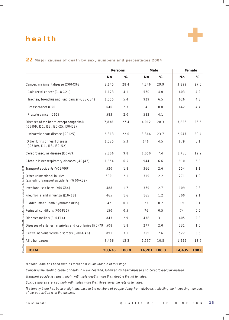### Persons | Male | Female **No % No % No %** Cancer, malignant disease (C00-C96) 8,145 28.4 4,246 29.9 3,899 27.0 Colo-rectal cancer (C18-C21) 1,173 4.1 570 4.0 603 4.2 Trachea, bronchus and lung cancer (C33-C34)  $1,555$   $5.4$   $929$   $6.5$   $626$   $4.3$ Breast cancer (C50) 646 2.3 4 0.0 642 4.4 Prostate cancer (C61) 583 2.0 583 4.1 Diseases of the heart (except congenital)  $7,838$  27.4  $4,012$  28.3  $3,826$  26.5 (I05-I09, I11, I13, I20-I25, I30-I52) Ischaemic heart disease (I20-I25) 6,313 22.0 3,366 23.7 2,947 20.4 Other forms of heart disease 1,525 5.3 646 4.5 879 6.1 (I05-I09, I11, I13, I30-I52) Cerebrovascular disease (I60-I69) 2,806 9.8 1,050 7.4 1,756 12.2 Chronic lower respiratory diseases (J40-J47) 1,854 6.5 944 6.6 910 6.3 Transport accidents (V01-V99) 520 1.8 366 2.6 154 1.1 Other unintentional injuries 690 2.1 319 2.2 271 1.9 (excluding transport accidents) (W00-X59) Intentional self harm (X60-X84) 488 1.7 379 2.7 109 0.8 Pneumonia and influenza (J10-J18) 465 1.6 165 1.2 300 2.1 Sudden Infant Death Syndrome (R95) 42 0.1 23 0.2 19 0.1 Perinatal conditions (POO-P96) 150 0.5 76 0.5 74 0.5 Diabetes mellitus (E10-E14) 843 2.9 438 3.1 405 2.8 Diseases of arteries, arterioles and capillaries (170-179) 508 1.8 277 2.0 231 1.6 Central nervous system disorders (G00-G46)  $\begin{array}{|l}\n 891 \quad 3.1 \quad | \quad 369 \quad 2.6 \quad | \quad 522 \quad 3.6\n \end{array}$ All other causes 3,496 12.2 1,537 10.8 1,959 13.6  **TOTAL 28,636 100.0 14,201 100.0 14,435 100.0**

#### **22 Major causes of death by sex, numbers and percentages 2004**

National data has been used as local data is unavailable at this stage.

Cancer is the leading cause of death in New Zealand, followed by heart disease and cerebrovascular disease.

Transport accidents remain high; with male deaths more than double that of females.

Suicide figures are also high with males more than three times the rate of females.

Nationally there has been a slight increase in the numbers of people dying from diabetes, reflecting the increasing numbers of the population with the disease.

Data Source: New Zealand Health Information Servces provisional mortality data for 2001

Data Source: New Zealand Health Information Servces provisional mortality data for

200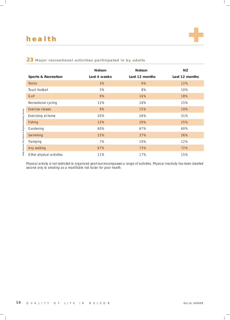### **23 Major recreational activities participated in by adults**

|                                | <b>Nelson</b> | <b>Nelson</b>  | NZ.            |
|--------------------------------|---------------|----------------|----------------|
| <b>Sports &amp; Recreation</b> | Last 4 weeks  | Last 12 months | Last 12 months |
| <b>Tennis</b>                  | 3%            | 9%             | 12%            |
| Touch football                 | 3%            | 8%             | 10%            |
| Golf                           | 9%            | 16%            | 18%            |
| Recreational cycling           | 12%           | 18%            | 15%            |
| Exercise classes               | 9%            | 15%            | 19%            |
| Exercising at home             | 20%           | 26%            | 31%            |
| Fishing                        | 15%           | 29%            | 25%            |
| Gardening                      | 60%           | 67%            | 60%            |
| Swimming                       | 15%           | 37%            | 36%            |
| Tramping                       | 7%            | 19%            | 12%            |
| Any walking                    | 67%           | 73%            | 72%            |
| Other physical activities      | 11%           | 17%            | 15%            |

Physical activity is not restricted to organized sport but encompasses a range of activities. Physical inactivity has been labelled second only to smoking as a modifiable risk factor for poor health.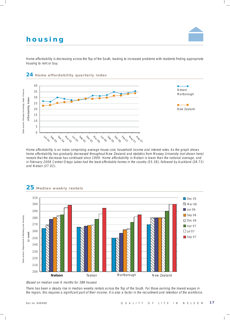# **housing**

Home affordability is decreasing across the Top of the South, leading to increased problems with residents finding appropriate housing to rent or buy.



Home affordability is an index comprising average house cost, household income and interest rates. As the graph shows home affordability has gradually decreased throughout New Zealand and statistics from Massey University (not shown here) reveals that the decrease has continued since 1999. Home affordability in Nelson is lower than the national average, and in February 2008 Central Otago Lakes had the least affordable homes in the country (55.38), followed by Auckland (38.73) and Nelson (37.02).



### **25 Median weekly rentals**

(Based on median over 6 months for 3BR houses)

There has been a steady rise in median weekly rentals across the Top of the South. For those earning the lowest wages in the region, this requires a significant part of their income. It is also a factor in the recruitment and retention of the workforce.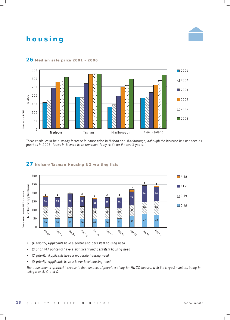# **housing**



#### **Median sale price 2001 - 2006**

There continues to be a steady increase in house price in Nelson and Marlborough, although the increase has not been as great as in 2003. Prices in Tasman have remained fairly static for the last 3 years.



#### **Nelson/Tasman Housing NZ waiting lists**

- (A priority) Applicants have a severe and persistent housing need
- •(B priority) Applicants have a significant and persistent housing need
- (C priority) Applicants have a moderate housing need
- (D priority) Applicants have a lower level housing need

There has been a gradual increase in the numbers of people waiting for HNZC houses, with the largest numbers being in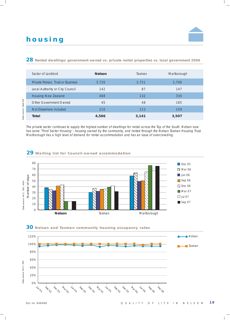# **housing**

#### **28 Rented dwellings: government owned vs. private rental properties vs. local government 2006**

| Sector of Landlord                | <b>Nelson</b> | Tasman | Marlborough |
|-----------------------------------|---------------|--------|-------------|
| Private Person, Trust or Business | 3,720         | 2,751  | 2,706       |
| Local Authority or City Council   | 142           | 87     | 147         |
| Housing New Zealand               | 468           | 132    | 330         |
| Other Government Owned            | 45            | 48     | 165         |
| Not Elsewhere included            | 210           | 123    | 159         |
| Total                             | 4,566         | 3,141  | 3,507       |

The private sector continues to supply the highest number of dwellings for rental across the Top of the South. Nelson now has some 'Third Sector Housing' - housing owned by the community, and rented through the Nelson Tasman Housing Trust. Marlborough has a high level of demand for rental accommodation and has an issue of overcrowding.

#### **29 Waiting list for Council-owned accommodation**





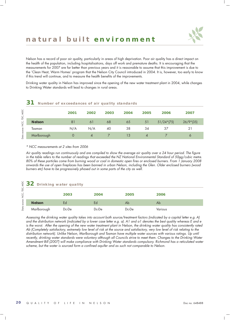# **natural built environment**



Nelson has a record of poor air quality, particularly in areas of high deprivation. Poor air quality has a direct impact on the health of the population, including hospitalisations, days off work and premature deaths. It is encouraging that the measurements for 2007 are far better than previous years and it is reasonable to assume that this improvement is due to the 'Clean Heat, Warm Homes' program that the Nelson City Council introduced in 2004. It is, however, too early to know if this trend will continue, and to measure the health benefits of the improvements.

Drinking water quality in Nelson has improved since the opening of the new water treatment plant in 2004, while changes to Drinking Water standards will lead to changes in rural areas.

| Number of exceedances of air quality standards |          |                          |      |      |                          |              |             |
|------------------------------------------------|----------|--------------------------|------|------|--------------------------|--------------|-------------|
|                                                | 2001     | 2002                     | 2003 | 2004 | 2005                     | 2006         | 2007        |
| <b>Nelson</b>                                  | 81       | 61                       | 68   | 65   | 51                       | $51/24*(75)$ | $26/9*(35)$ |
| Tasman                                         | N/A      | N/A                      | 40   | 38   | 34                       | 37           | 21          |
| Marlborough                                    | $\Omega$ | $\boldsymbol{\varDelta}$ |      | 13   | $\boldsymbol{\varDelta}$ |              | 6           |

\* NCC measurements at 2 sites from 2006

Air quality readings run continuously and are compiled to show the average air quality over a 24 hour period. The figure in the table refers to the number of readings that exceeded the NZ National Environmental Standard of 50µg/cubic metre. 80% of these particles come from burning wood or coal in domestic open fires or enclosed burners. From 1 January 2008 onwards the use of open fireplaces has been banned in urban Nelson, including the Glen. Older enclosed burners (wood burners etc) have to be progressively phased out in some parts of the city as well.

#### **32 Drinking water quality**

|               | 2003  | 2004  | 2005        | 2006           |  |
|---------------|-------|-------|-------------|----------------|--|
| <b>Nelson</b> | Ed    | Ed    | Ab          | Ab             |  |
| Marlborough   | Dc-De | Dc-De | $Dc$ - $De$ | <b>Various</b> |  |

Assessing the drinking water quality takes into account both source/treatment factors (indicated by a capital letter e.g. A) and the distribution network (indicated by a lower case letter e.g. a). A1 and a1 denotes the best quality whereas E and e is the worst. After the opening of the new water treatment plant in Nelson, the drinking water quality has consistently rated Ab (Completely satisfactory, extremely low level of risk at the source and satisfactory, very low level of risk relating to the distribution network). Unlike Nelson, Marlborough and Tasman have multiple water sources with various ratings. Up until recently, drinking water standards were voluntary although all Councils strive to meet them. Changes to the Drinking Water Amendment Bill (2007) will make compliance with Drinking Water standards compulsory. Richmond has a reticulated water scheme, but the water is sourced form a confined aquifer and as such not comparable to Nelson.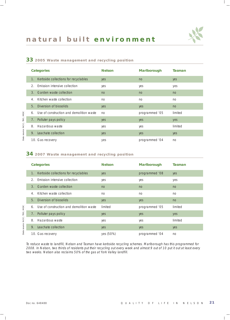#### **33 2005 Waste management and recycling position**

| <b>Categories</b>                                      | <b>Nelson</b> | <b>Marlborough</b> | <b>Tasman</b> |
|--------------------------------------------------------|---------------|--------------------|---------------|
| Kerbside collections for recyclables<br>1 <sub>1</sub> | yes           | no                 | yes           |
| 2.<br>Emission intensive collection                    | yes           | yes                | yes           |
| Garden waste collection<br>$\mathcal{B}_{\cdot}$       | no            | no                 | no            |
| Kitchen waste collection<br>4.                         | no            | no                 | no            |
| 5.<br>Diversion of biosolids                           | yes           | yes                | no            |
| Use of construction and demolition waste<br>6.         | no            | programmed '05     | limited       |
| 7. Polluter pays policy                                | yes           | yes                | yes           |
| Hazardous waste<br>8.                                  | yes           | yes                | limited       |
| Leachate collection<br>9.                              | yes           | yes                | yes           |
| 10. Gas recovery                                       | yes           | programmed '04     | no            |

#### **34 2007 Waste management and recycling position**

| <b>Categories</b>                                   | <b>Nelson</b> | <b>Marlborough</b> | <b>Tasman</b> |
|-----------------------------------------------------|---------------|--------------------|---------------|
| Kerbside collections for recyclables<br>$1_{\cdot}$ | yes           | programmed '08     | yes           |
| Emission intensive collection<br>2.                 | yes           | yes                | yes           |
| Garden waste collection<br>3.                       | no            | no                 | no            |
| Kitchen waste collection<br>$\overline{4}$ .        | no            | no                 | no            |
| Diversion of biosolids<br>5.                        | yes           | yes                | no            |
| Use of construction and demolition waste<br>6.      | limited       | programmed '05     | limited       |
| Polluter pays policy<br>7.                          | yes           | yes                | yes           |
| Hazardous waste<br>8.                               | yes           | yes                | limited       |
| Leachate collection<br>9.                           | yes           | yes                | yes           |
| 10. Gas recovery                                    | yes (50%)     | programmed '04     | no            |

To reduce waste to landfill, Nelson and Tasman have kerbside recycling schemes. Marlborough has this programmed for 2008. In Nelson, two thirds of residents put their recycling out every week and almost 9 out of 10 put it out at least every two weeks. Nelson also reclaims 50% of the gas at York Valley landfill.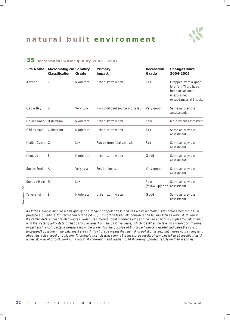| <b>Site Name</b>    | <b>Microbiological Sanitary</b><br>Classification | Grade    | Primary<br>Impact               | <b>Recreation</b><br>Grade | <b>Changes since</b><br>2004-2005                                                                          |
|---------------------|---------------------------------------------------|----------|---------------------------------|----------------------------|------------------------------------------------------------------------------------------------------------|
| Atawhai             | $\mathsf{C}$                                      | Moderate | Urban storm water               | Fair                       | Dropped from a good<br>to a fair. There have<br>been occasional<br>unexplained<br>exceedances at this site |
| Cable Bay           | Β                                                 | Very Low | No significant source indicated | Very good                  | Same as previous<br>assessments                                                                            |
| Collingwood         | D (interim)                                       | Moderate | Urban storm water               | Poor                       | No previous assessment                                                                                     |
| <b>Girlies Hole</b> | C (interim)                                       | Moderate | Urban storm water               | Fair                       | Same as previous<br>assessment                                                                             |
| Maitai Camp C       |                                                   | Low      | Run-off from feral animals      | Fair                       | Same as previous<br>assessment                                                                             |
| Monaco              | Β                                                 | Moderate | Urban storm water               | Good                       | Same as previous<br>assessment                                                                             |
| Smiths Ford         | A                                                 | Very Low | Feral animals                   | Very good                  | Same as previous<br>assessment                                                                             |
| Sunday Hole         | D                                                 | Low      |                                 | Poor<br>(follow up) ****   | Same as previous<br>assessment                                                                             |
| Tahunanui           | Β                                                 | Moderate | Urban storm water               | Good                       | Same as previous<br>assessment                                                                             |

### **35 Recreational water quality 2005 - 2007**

Data source: NCC Data source: NCC

> All three Councils monitor water quality at a range of popular fresh and salt water recreation sites across their regions to produce a Suitability for Recreation Grade (SFRG). This grade takes into consideration factors such as agricultural use in the catchments, annual rainfall figures, water uses (marina, boat moorings etc.) and human activity. It couples this information with the water quality data of that particular area from the past five years, which identifies the level of Enterococci (marine) or Escherichia coli bacteria (freshwater) in the water. For the purpose of this table "Sanitary grade" indicates the risks of (increased) pollution in the catchment areas. A 'low' grade means that the risk of pollution is low, but it does not say anything about the actual level of pollution. Microbiological classification is the measured results of samples taken at specific sites. A is best (low level of pollution) - D is worst. Marlborough and Tasman publish weekly updated results on their websites.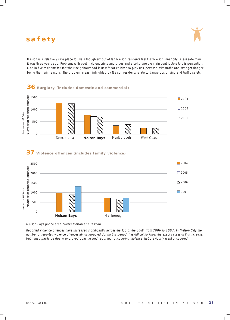Nelson is a relatively safe place to live although six out of ten Nelson residents feel that Nelson inner city is less safe than it was three years ago. Problems with youth, violent crime and drugs and alcohol are the main contributors to this perception. One in five residents felt that their neighbourhood is unsafe for children to play unsupervised with traffic and stranger danger being the main reasons. The problem areas highlighted by Nelson residents relate to dangerous driving and traffic safety.







#### **37 Violence offences (includes family violence)**

Nelson Bays police area covers Nelson and Tasman.

Reported violence offences have increased significantly across the Top of the South from 2006 to 2007. In Nelson City the number of reported violence offences almost doubled during this period. It is difficult to know the exact causes of this increase,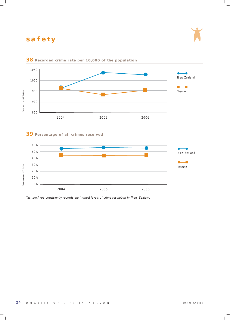



#### **38 Recorded crime rate per 10,000 of the population**

### **39 Percentage of all crimes resolved**



Tasman Area consistently records the highest levels of crime resolution in New Zealand.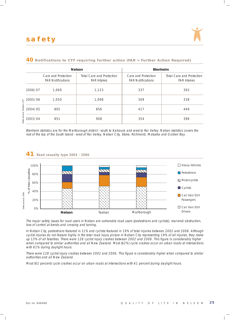

|         |                                                 | <b>Nelson</b>                                   | <b>Blenheim</b>                                 |                                                 |
|---------|-------------------------------------------------|-------------------------------------------------|-------------------------------------------------|-------------------------------------------------|
|         | Care and Protection<br><b>FAR Notifications</b> | Total Care and Protection<br><b>FAR Intakes</b> | Care and Protection<br><b>FAR Notifications</b> | Total Care and Protection<br><b>FAR Intakes</b> |
| 2006/07 | 1.069                                           | 1,123                                           | 337                                             | 392                                             |
| 2005/06 | 1.050                                           | 1,098                                           | 309                                             | 338                                             |
| 2004/05 | 805                                             | 856                                             | 417                                             | 449                                             |
| 2003/04 | 851                                             | 908                                             | 354                                             | 396                                             |

#### **40 Notifications to CYF requiring further action (FAR = Further Action Required)**

Blenheim statistics are for the Marlborough district - south to Kaikoura and west to Rai Valley. Nelson statistics covers the rest of the top of the South Island - west of Rai Valley, Nelson City, Stoke, Richmond, Motueka and Golden Bay.



#### The major safety issues for road users in Nelson are vulnerable road users (pedestrians and cyclists), rear-end/obstruction, loss of control at bends and crossing and turning.

In Nelson City, pedestrians featured in 11% and cyclists featured in 19% of total injuries between 2002 and 2006. Although cyclist injuries do not feature highly in the total road injury picture in Nelson City representing 19% of all injuries, they make up 13% of all fatalities. There were 128 cyclist injury crashes between 2002 and 2006. This figure is considerably higher when compared to similar authorities and all New Zealand. Most (62%) cycle crashes occur on urban roads at intersections with 61% during daylight hours.

There were 128 cyclist injury crashes between 2002 and 2006. This figure is considerably higher when compared to similar authorities and all New Zealand.

Most (62 percent) cycle crashes occur on urban roads at intersections with 61 percent during daylight hours.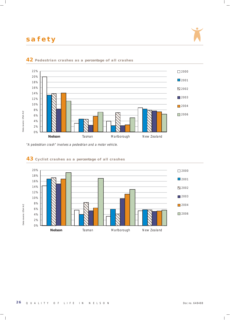



#### **42** Pedestrian crashes as a percentage of all crashes

"A pedestrian crash" involves a pedestrian and a motor vehicle.



#### **43** Cyclist crashes as a percentage of all crashes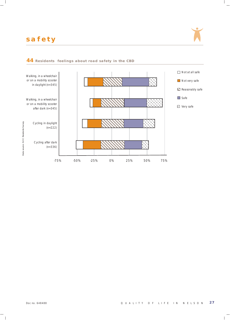

### Walking, in a wheelchair or on a mobility scooter in daylight (n=345) Walking, in a wheelchair or on a mobility scooter after dark (n=345) Cycling in daylight (n=222) Cycling after dark (n=336) -75% -50% -25% 0% 25% 50% 75% □ Not at all safe Not very safe **Reasonably safe**  $\Box$  Safe D Very safe

#### **44 Residents feelings about road safety in the CBD**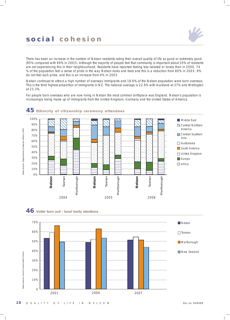

There has been an increase in the number of Nelson residents rating their overall quality of life as good or extremely good (95% compared with 89% in 2003). Although the majority of people feel that community is important about 20% of residents are not experiencing this in their neighbourhood. Residents have reported feeling less isolated or lonely than in 2000. 74 % of the population feel a sense of pride in the way Nelson looks and feels and this is a reduction from 80% in 2003. 9% do not feel such pride, and this is an increase from 4% in 2003.

Nelson continues to attract a high number of overseas immigrants and 18.6%.of the Nelson population were born overseas. This is the third highest proportion of immigrants in NZ. The national average is 22.9% with Auckland at 37% and Wellington at 23.3%.

For people born overseas who are now living in Nelson the most common birthplace was England. Nelson's population is increasingly being made up of immigrants from the United Kingdom, Germany and the United States of America.





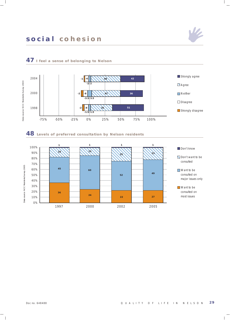

### **47 I feel a sense of belonging to Nelson**

### **48 Levels of preferred consultation by Nelson residents**



 $\nu_{\rm z}$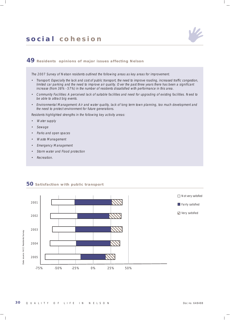

### **49 Residents opinions of major issues affecting Nelson**

The 2007 Survey of Nelson residents outlined the following areas as key areas for improvement.

- Transport: Especially the lack and cost of public transport, the need to improve roading, increased traffic congestion, limited car parking and the need to improve air quality. Over the past three years there has been a significant increase (from 38% - 57%) in the number of residents dissatisfied with performance in this area.
- • Community Facilities: A perceived lack of suitable facilities and need for upgrading of existing facilities. Need to be able to attract big events.
- • Environmental Management: Air and water quality, lack of long term town planning, too much development and the need to protect environment for future generations.

Residents highlighted strengths in the following key activity areas:

- •Water supply
- •Sewage
- •Parks and open spaces
- •Waste Management
- •Emergency Management
- •Storm water and Flood protection
- •Recreation.

#### **50 Satisfaction with public transport**

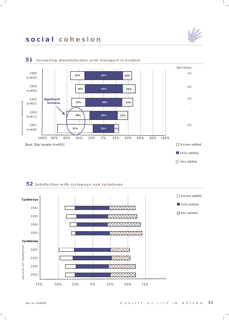







#### **52 Satisfaction with cycleways and cyclelanes**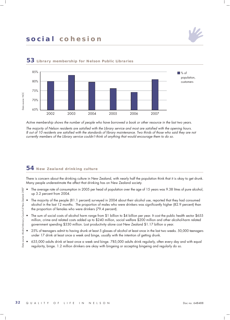



#### **53 Library membership for Nelson Public Libraries**

Active membership shows the number of people who have borrowed a book or other resource in the last two years.

The majority of Nelson residents are satisfied with the Library service and most are satisfied with the opening hours. 8 out of 10 residents are satisfied with the standards of library maintenance. Two thirds of those who said they are not currently members of the Library service couldn't think of anything that would encourage them to do so.

### **54 New Zealand drinking culture**

There is concern about the drinking culture in New Zealand, with nearly half the population think that it is okay to get drunk. Many people underestimate the affect that drinking has on New Zealand society.

- The average rate of consumption in 2005 per head of population over the age of 15 years was 9.38 litres of pure alcohol, up 3.2 percent from 2004.
- The majority of the people (81.1 percent) surveyed in 2004 about their alcohol use, reported that they had consumed alcohol in the last 12 months. The proportion of males who were drinkers was significantly higher (82.9 percent) than the proportion of females who were drinkers (79.4 percent).
- The sum of social costs of alcohol harm range from \$1 billion to \$4 billion per year. It cost the public health sector \$655 million, crime and related costs added up to \$240 million, social welfare \$200 million and other alcohol-harm related government spending \$330 million. Lost productivity alone cost New Zealand \$1.17 billion a year.
- 25% of teenagers admit to having drunk at least 5 glasses of alcohol at least once in the last two weeks. 50,000 teenagers under 17 drink at least once a week and binge, usually with the intention of getting drunk.
- 635,000 adults drink at least once a week and binge. 785,000 adults drink regularly, often every day and with equal regularity, binge. 1.2 million drinkers are okay with bingeing or accepting bingeing and regularly do so.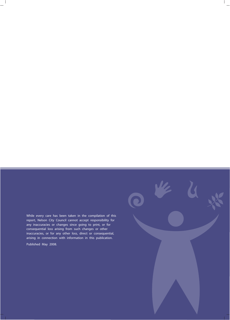While every care has been taken in the compilation of this report, Nelson City Council cannot accept responsibility for any inaccuracies or changes since going to print, or for consequential loss arising from such changes or other inaccuracies, or for any other loss, direct or consequential, arising in connection with information in this publication. Published May 2008.